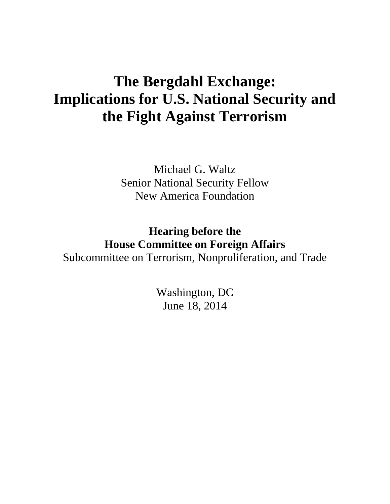## **The Bergdahl Exchange: Implications for U.S. National Security and the Fight Against Terrorism**

Michael G. Waltz Senior National Security Fellow New America Foundation

**Hearing before the House Committee on Foreign Affairs** Subcommittee on Terrorism, Nonproliferation, and Trade

> Washington, DC June 18, 2014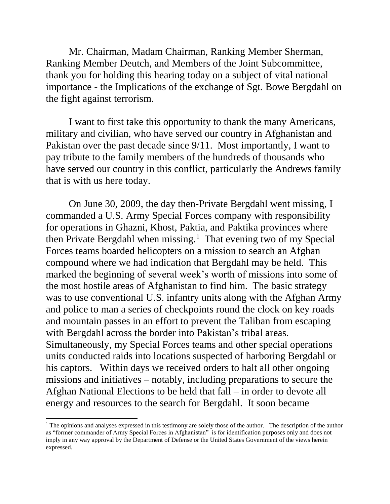Mr. Chairman, Madam Chairman, Ranking Member Sherman, Ranking Member Deutch, and Members of the Joint Subcommittee, thank you for holding this hearing today on a subject of vital national importance - the Implications of the exchange of Sgt. Bowe Bergdahl on the fight against terrorism.

I want to first take this opportunity to thank the many Americans, military and civilian, who have served our country in Afghanistan and Pakistan over the past decade since 9/11. Most importantly, I want to pay tribute to the family members of the hundreds of thousands who have served our country in this conflict, particularly the Andrews family that is with us here today.

On June 30, 2009, the day then-Private Bergdahl went missing, I commanded a U.S. Army Special Forces company with responsibility for operations in Ghazni, Khost, Paktia, and Paktika provinces where then Private Bergdahl when missing.<sup>1</sup> That evening two of my Special Forces teams boarded helicopters on a mission to search an Afghan compound where we had indication that Bergdahl may be held. This marked the beginning of several week's worth of missions into some of the most hostile areas of Afghanistan to find him. The basic strategy was to use conventional U.S. infantry units along with the Afghan Army and police to man a series of checkpoints round the clock on key roads and mountain passes in an effort to prevent the Taliban from escaping with Bergdahl across the border into Pakistan's tribal areas. Simultaneously, my Special Forces teams and other special operations units conducted raids into locations suspected of harboring Bergdahl or his captors. Within days we received orders to halt all other ongoing missions and initiatives – notably, including preparations to secure the Afghan National Elections to be held that fall – in order to devote all energy and resources to the search for Bergdahl. It soon became

 $\overline{a}$ 

<sup>&</sup>lt;sup>1</sup> The opinions and analyses expressed in this testimony are solely those of the author. The description of the author as "former commander of Army Special Forces in Afghanistan" is for identification purposes only and does not imply in any way approval by the Department of Defense or the United States Government of the views herein expressed.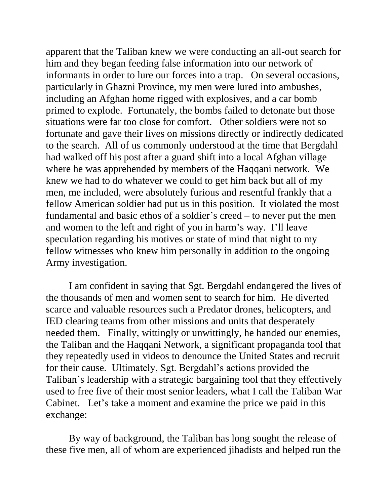apparent that the Taliban knew we were conducting an all-out search for him and they began feeding false information into our network of informants in order to lure our forces into a trap. On several occasions, particularly in Ghazni Province, my men were lured into ambushes, including an Afghan home rigged with explosives, and a car bomb primed to explode. Fortunately, the bombs failed to detonate but those situations were far too close for comfort. Other soldiers were not so fortunate and gave their lives on missions directly or indirectly dedicated to the search. All of us commonly understood at the time that Bergdahl had walked off his post after a guard shift into a local Afghan village where he was apprehended by members of the Haqqani network. We knew we had to do whatever we could to get him back but all of my men, me included, were absolutely furious and resentful frankly that a fellow American soldier had put us in this position. It violated the most fundamental and basic ethos of a soldier's creed – to never put the men and women to the left and right of you in harm's way. I'll leave speculation regarding his motives or state of mind that night to my fellow witnesses who knew him personally in addition to the ongoing Army investigation.

I am confident in saying that Sgt. Bergdahl endangered the lives of the thousands of men and women sent to search for him. He diverted scarce and valuable resources such a Predator drones, helicopters, and IED clearing teams from other missions and units that desperately needed them. Finally, wittingly or unwittingly, he handed our enemies, the Taliban and the Haqqani Network, a significant propaganda tool that they repeatedly used in videos to denounce the United States and recruit for their cause. Ultimately, Sgt. Bergdahl's actions provided the Taliban's leadership with a strategic bargaining tool that they effectively used to free five of their most senior leaders, what I call the Taliban War Cabinet. Let's take a moment and examine the price we paid in this exchange:

By way of background, the Taliban has long sought the release of these five men, all of whom are experienced jihadists and helped run the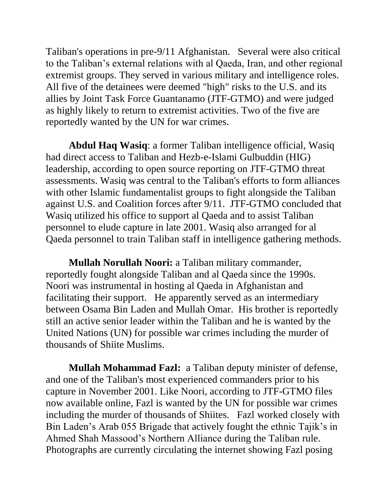Taliban's operations in pre-9/11 Afghanistan. Several were also critical to the Taliban's external relations with al Qaeda, Iran, and other regional extremist groups. They served in various military and intelligence roles. All five of the detainees were deemed "high" risks to the U.S. and its allies by Joint Task Force Guantanamo (JTF-GTMO) and were judged as highly likely to return to extremist activities. Two of the five are reportedly wanted by the UN for war crimes.

**Abdul Haq Wasiq**: a former Taliban intelligence official, Wasiq had direct access to Taliban and Hezb-e-Islami Gulbuddin (HIG) leadership, according to open source reporting on JTF-GTMO threat assessments. Wasiq was central to the Taliban's efforts to form alliances with other Islamic fundamentalist groups to fight alongside the Taliban against U.S. and Coalition forces after 9/11. JTF-GTMO concluded that Wasiq utilized his office to support al Qaeda and to assist Taliban personnel to elude capture in late 2001. Wasiq also arranged for al Qaeda personnel to train Taliban staff in intelligence gathering methods.

**Mullah Norullah Noori:** a Taliban military commander, reportedly fought alongside Taliban and al Qaeda since the 1990s. Noori was instrumental in hosting al Qaeda in Afghanistan and facilitating their support. He apparently served as an intermediary between Osama Bin Laden and Mullah Omar. His brother is reportedly still an active senior leader within the Taliban and he is wanted by the United Nations (UN) for possible war crimes including the murder of thousands of Shiite Muslims.

**Mullah Mohammad Fazl:** a Taliban deputy minister of defense, and one of the Taliban's most experienced commanders prior to his capture in November 2001. Like Noori, according to JTF-GTMO files now available online, Fazl is wanted by the UN for possible war crimes including the murder of thousands of Shiites. Fazl worked closely with Bin Laden's Arab 055 Brigade that actively fought the ethnic Tajik's in Ahmed Shah Massood's Northern Alliance during the Taliban rule. Photographs are currently circulating the internet showing Fazl posing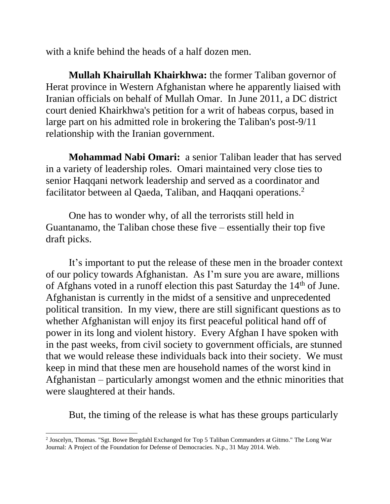with a knife behind the heads of a half dozen men.

**Mullah Khairullah Khairkhwa:** the former Taliban governor of Herat province in Western Afghanistan where he apparently liaised with Iranian officials on behalf of Mullah Omar. In June 2011, a DC district court denied Khairkhwa's petition for a writ of habeas corpus, based in large part on his admitted role in brokering the Taliban's post-9/11 relationship with the Iranian government.

**Mohammad Nabi Omari:** a senior Taliban leader that has served in a variety of leadership roles. Omari maintained very close ties to senior Haqqani network leadership and served as a coordinator and facilitator between al Qaeda, Taliban, and Haqqani operations.<sup>2</sup>

One has to wonder why, of all the terrorists still held in Guantanamo, the Taliban chose these five – essentially their top five draft picks.

It's important to put the release of these men in the broader context of our policy towards Afghanistan. As I'm sure you are aware, millions of Afghans voted in a runoff election this past Saturday the  $14<sup>th</sup>$  of June. Afghanistan is currently in the midst of a sensitive and unprecedented political transition. In my view, there are still significant questions as to whether Afghanistan will enjoy its first peaceful political hand off of power in its long and violent history. Every Afghan I have spoken with in the past weeks, from civil society to government officials, are stunned that we would release these individuals back into their society. We must keep in mind that these men are household names of the worst kind in Afghanistan – particularly amongst women and the ethnic minorities that were slaughtered at their hands.

But, the timing of the release is what has these groups particularly

l 2 Joscelyn, Thomas. "Sgt. Bowe Bergdahl Exchanged for Top 5 Taliban Commanders at Gitmo." The Long War Journal: A Project of the Foundation for Defense of Democracies. N.p., 31 May 2014. Web.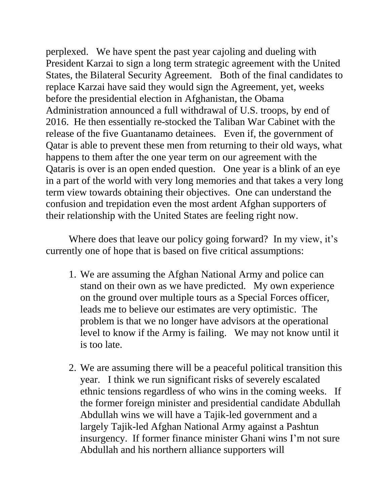perplexed. We have spent the past year cajoling and dueling with President Karzai to sign a long term strategic agreement with the United States, the Bilateral Security Agreement. Both of the final candidates to replace Karzai have said they would sign the Agreement, yet, weeks before the presidential election in Afghanistan, the Obama Administration announced a full withdrawal of U.S. troops, by end of 2016. He then essentially re-stocked the Taliban War Cabinet with the release of the five Guantanamo detainees. Even if, the government of Qatar is able to prevent these men from returning to their old ways, what happens to them after the one year term on our agreement with the Qataris is over is an open ended question. One year is a blink of an eye in a part of the world with very long memories and that takes a very long term view towards obtaining their objectives. One can understand the confusion and trepidation even the most ardent Afghan supporters of their relationship with the United States are feeling right now.

Where does that leave our policy going forward? In my view, it's currently one of hope that is based on five critical assumptions:

- 1. We are assuming the Afghan National Army and police can stand on their own as we have predicted. My own experience on the ground over multiple tours as a Special Forces officer, leads me to believe our estimates are very optimistic. The problem is that we no longer have advisors at the operational level to know if the Army is failing. We may not know until it is too late.
- 2. We are assuming there will be a peaceful political transition this year. I think we run significant risks of severely escalated ethnic tensions regardless of who wins in the coming weeks. If the former foreign minister and presidential candidate Abdullah Abdullah wins we will have a Tajik-led government and a largely Tajik-led Afghan National Army against a Pashtun insurgency. If former finance minister Ghani wins I'm not sure Abdullah and his northern alliance supporters will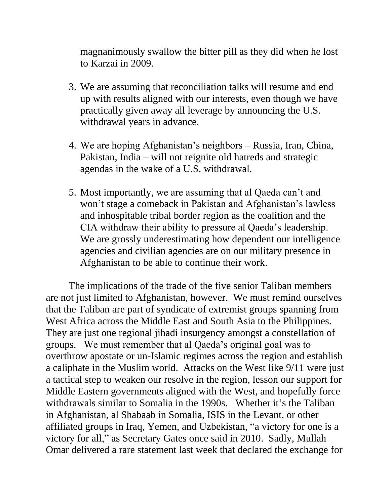magnanimously swallow the bitter pill as they did when he lost to Karzai in 2009.

- 3. We are assuming that reconciliation talks will resume and end up with results aligned with our interests, even though we have practically given away all leverage by announcing the U.S. withdrawal years in advance.
- 4. We are hoping Afghanistan's neighbors Russia, Iran, China, Pakistan, India – will not reignite old hatreds and strategic agendas in the wake of a U.S. withdrawal.
- 5. Most importantly, we are assuming that al Qaeda can't and won't stage a comeback in Pakistan and Afghanistan's lawless and inhospitable tribal border region as the coalition and the CIA withdraw their ability to pressure al Qaeda's leadership. We are grossly underestimating how dependent our intelligence agencies and civilian agencies are on our military presence in Afghanistan to be able to continue their work.

The implications of the trade of the five senior Taliban members are not just limited to Afghanistan, however. We must remind ourselves that the Taliban are part of syndicate of extremist groups spanning from West Africa across the Middle East and South Asia to the Philippines. They are just one regional jihadi insurgency amongst a constellation of groups. We must remember that al Qaeda's original goal was to overthrow apostate or un-Islamic regimes across the region and establish a caliphate in the Muslim world. Attacks on the West like 9/11 were just a tactical step to weaken our resolve in the region, lesson our support for Middle Eastern governments aligned with the West, and hopefully force withdrawals similar to Somalia in the 1990s. Whether it's the Taliban in Afghanistan, al Shabaab in Somalia, ISIS in the Levant, or other affiliated groups in Iraq, Yemen, and Uzbekistan, "a victory for one is a victory for all," as Secretary Gates once said in 2010. Sadly, Mullah Omar delivered a rare statement last week that declared the exchange for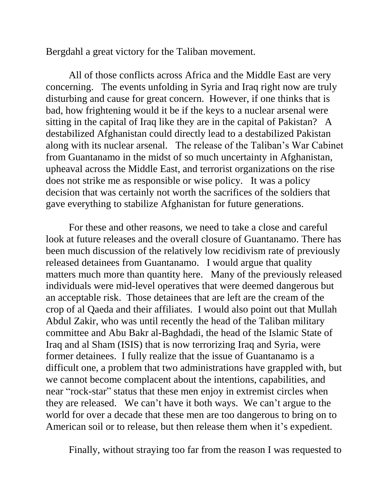Bergdahl a great victory for the Taliban movement.

All of those conflicts across Africa and the Middle East are very concerning. The events unfolding in Syria and Iraq right now are truly disturbing and cause for great concern. However, if one thinks that is bad, how frightening would it be if the keys to a nuclear arsenal were sitting in the capital of Iraq like they are in the capital of Pakistan? A destabilized Afghanistan could directly lead to a destabilized Pakistan along with its nuclear arsenal. The release of the Taliban's War Cabinet from Guantanamo in the midst of so much uncertainty in Afghanistan, upheaval across the Middle East, and terrorist organizations on the rise does not strike me as responsible or wise policy. It was a policy decision that was certainly not worth the sacrifices of the soldiers that gave everything to stabilize Afghanistan for future generations.

For these and other reasons, we need to take a close and careful look at future releases and the overall closure of Guantanamo. There has been much discussion of the relatively low recidivism rate of previously released detainees from Guantanamo. I would argue that quality matters much more than quantity here. Many of the previously released individuals were mid-level operatives that were deemed dangerous but an acceptable risk. Those detainees that are left are the cream of the crop of al Qaeda and their affiliates. I would also point out that Mullah Abdul Zakir, who was until recently the head of the Taliban military committee and Abu Bakr al-Baghdadi, the head of the Islamic State of Iraq and al Sham (ISIS) that is now terrorizing Iraq and Syria, were former detainees. I fully realize that the issue of Guantanamo is a difficult one, a problem that two administrations have grappled with, but we cannot become complacent about the intentions, capabilities, and near "rock-star" status that these men enjoy in extremist circles when they are released. We can't have it both ways. We can't argue to the world for over a decade that these men are too dangerous to bring on to American soil or to release, but then release them when it's expedient.

Finally, without straying too far from the reason I was requested to